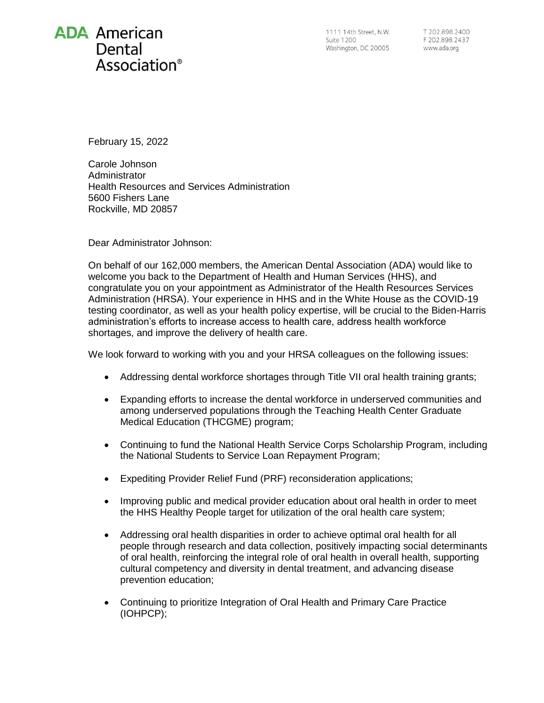## **ADA** American Dental Association<sup>®</sup>

1111 14th Street, N.W. Suite 1200 Washington, DC 20005

T 202 898 2400 F 202.898.2437 www.ada.org

February 15, 2022

Carole Johnson Administrator Health Resources and Services Administration 5600 Fishers Lane Rockville, MD 20857

Dear Administrator Johnson:

On behalf of our 162,000 members, the American Dental Association (ADA) would like to welcome you back to the Department of Health and Human Services (HHS), and congratulate you on your appointment as Administrator of the Health Resources Services Administration (HRSA). Your experience in HHS and in the White House as the COVID-19 testing coordinator, as well as your health policy expertise, will be crucial to the Biden-Harris administration's efforts to increase access to health care, address health workforce shortages, and improve the delivery of health care.

We look forward to working with you and your HRSA colleagues on the following issues:

- Addressing dental workforce shortages through Title VII oral health training grants;
- Expanding efforts to increase the dental workforce in underserved communities and among underserved populations through the Teaching Health Center Graduate Medical Education (THCGME) program;
- Continuing to fund the National Health Service Corps Scholarship Program, including the National Students to Service Loan Repayment Program;
- Expediting Provider Relief Fund (PRF) reconsideration applications;
- Improving public and medical provider education about oral health in order to meet the HHS Healthy People target for utilization of the oral health care system;
- Addressing oral health disparities in order to achieve optimal oral health for all people through research and data collection, positively impacting social determinants of oral health, reinforcing the integral role of oral health in overall health, supporting cultural competency and diversity in dental treatment, and advancing disease prevention education;
- Continuing to prioritize Integration of Oral Health and Primary Care Practice (IOHPCP);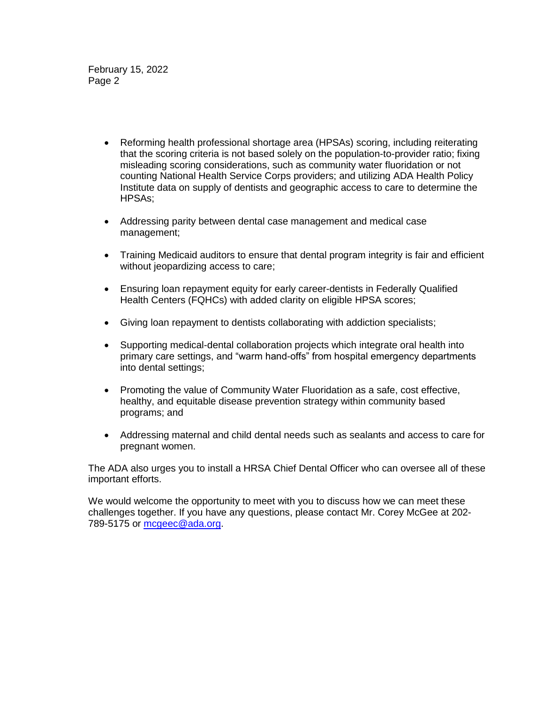February 15, 2022 Page 2

- Reforming health professional shortage area (HPSAs) scoring, including reiterating that the scoring criteria is not based solely on the population-to-provider ratio; fixing misleading scoring considerations, such as community water fluoridation or not counting National Health Service Corps providers; and utilizing ADA Health Policy Institute data on supply of dentists and geographic access to care to determine the HPSAs;
- Addressing parity between dental case management and medical case management;
- Training Medicaid auditors to ensure that dental program integrity is fair and efficient without jeopardizing access to care;
- Ensuring loan repayment equity for early career-dentists in Federally Qualified Health Centers (FQHCs) with added clarity on eligible HPSA scores;
- Giving loan repayment to dentists collaborating with addiction specialists;
- Supporting medical-dental collaboration projects which integrate oral health into primary care settings, and "warm hand-offs" from hospital emergency departments into dental settings;
- Promoting the value of Community Water Fluoridation as a safe, cost effective, healthy, and equitable disease prevention strategy within community based programs; and
- Addressing maternal and child dental needs such as sealants and access to care for pregnant women.

The ADA also urges you to install a HRSA Chief Dental Officer who can oversee all of these important efforts.

We would welcome the opportunity to meet with you to discuss how we can meet these challenges together. If you have any questions, please contact Mr. Corey McGee at 202 789-5175 or [mcgeec@ada.org.](mailto:mcgeec@ada.org)